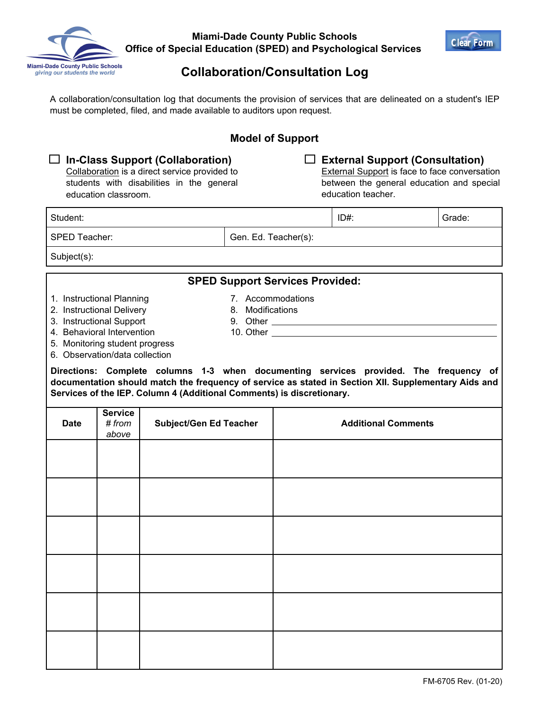

**Miami-Dade County Public Schools Office of Special Education (SPED) and Psychological Services** 



## **Collaboration/Consultation Log**

A collaboration/consultation log that documents the provision of services that are delineated on a student's IEP must be completed, filed, and made available to auditors upon request.

### **Model of Support**

| $\Box$ In-Class Support (Collaboration) |  |                                               |  |  |  |
|-----------------------------------------|--|-----------------------------------------------|--|--|--|
|                                         |  | Collaboration is a direct service provided to |  |  |  |
|                                         |  | students with disabilities in the general     |  |  |  |

### **External Support (Consultation)**

**External Support is face to face conversation** between the general education and special education teacher.

| Student: | ID#: | Grade: |
|----------|------|--------|
|          |      |        |

SPED Teacher:

Gen. Ed. Teacher(s):

Subject(s):

#### **SPED Support Services Provided:**

10. Other

1. Instructional Planning

- 7. Accommodations 8. Modifications
- 2. Instructional Delivery
- 3. Instructional Support
- 9. Other
- 4. Behavioral Intervention

education classroom.

- 5. Monitoring student progress
- 6. Observation/data collection

**Directions: Complete columns 1-3 when documenting services provided. The frequency of documentation should match the frequency of service as stated in Section XII. Supplementary Aids and Services of the IEP. Column 4 (Additional Comments) is discretionary.**

| <b>Date</b> | <b>Service</b><br># from<br>above | Subject/Gen Ed Teacher | <b>Additional Comments</b> |
|-------------|-----------------------------------|------------------------|----------------------------|
|             |                                   |                        |                            |
|             |                                   |                        |                            |
|             |                                   |                        |                            |
|             |                                   |                        |                            |
|             |                                   |                        |                            |
|             |                                   |                        |                            |